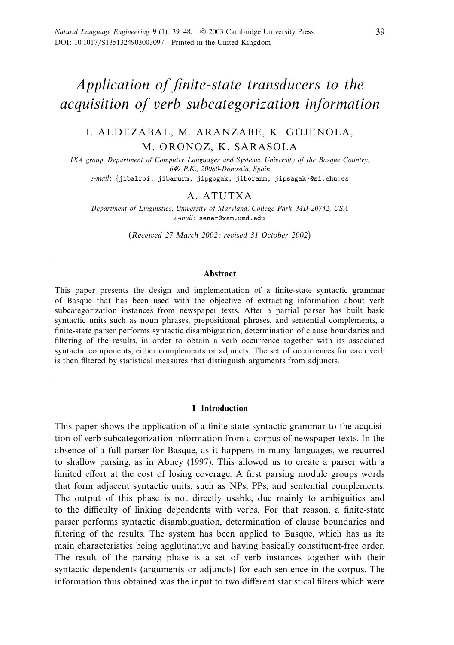# Application of finite-state transducers to the acquisition of verb subcategorization information

# I. ALDEZABAL, M. ARANZABE, K. GOJENOLA, M. ORONOZ, K. SARASOLA

IXA group, Department of Computer Languages and Systems, University of the Basque Country, 649 P.K., 20080-Donostia, Spain

e-mail: {jibalroi, jibarurm, jipgogak, jiboranm, jipsagak}@si.ehu.es

# A. ATUTXA

Department of Linguistics, University of Maryland, College Park, MD 20742, USA e-mail: sener@wam.umd.edu

(Received 27 March 2002; revised 31 October 2002)

#### **Abstract**

This paper presents the design and implementation of a finite-state syntactic grammar of Basque that has been used with the objective of extracting information about verb subcategorization instances from newspaper texts. After a partial parser has built basic syntactic units such as noun phrases, prepositional phrases, and sentential complements, a finite-state parser performs syntactic disambiguation, determination of clause boundaries and filtering of the results, in order to obtain a verb occurrence together with its associated syntactic components, either complements or adjuncts. The set of occurrences for each verb is then filtered by statistical measures that distinguish arguments from adjuncts.

#### **1 Introduction**

This paper shows the application of a finite-state syntactic grammar to the acquisition of verb subcategorization information from a corpus of newspaper texts. In the absence of a full parser for Basque, as it happens in many languages, we recurred to shallow parsing, as in Abney (1997). This allowed us to create a parser with a limited effort at the cost of losing coverage. A first parsing module groups words that form adjacent syntactic units, such as NPs, PPs, and sentential complements. The output of this phase is not directly usable, due mainly to ambiguities and to the difficulty of linking dependents with verbs. For that reason, a finite-state parser performs syntactic disambiguation, determination of clause boundaries and filtering of the results. The system has been applied to Basque, which has as its main characteristics being agglutinative and having basically constituent-free order. The result of the parsing phase is a set of verb instances together with their syntactic dependents (arguments or adjuncts) for each sentence in the corpus. The information thus obtained was the input to two different statistical filters which were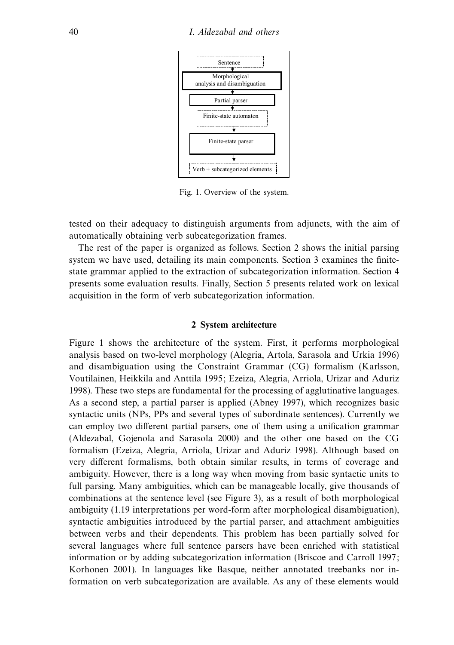

Fig. 1. Overview of the system.

tested on their adequacy to distinguish arguments from adjuncts, with the aim of automatically obtaining verb subcategorization frames.

The rest of the paper is organized as follows. Section 2 shows the initial parsing system we have used, detailing its main components. Section 3 examines the finitestate grammar applied to the extraction of subcategorization information. Section 4 presents some evaluation results. Finally, Section 5 presents related work on lexical acquisition in the form of verb subcategorization information.

## **2 System architecture**

Figure 1 shows the architecture of the system. First, it performs morphological analysis based on two-level morphology (Alegria, Artola, Sarasola and Urkia 1996) and disambiguation using the Constraint Grammar (CG) formalism (Karlsson, Voutilainen, Heikkila and Anttila 1995; Ezeiza, Alegria, Arriola, Urizar and Aduriz 1998). These two steps are fundamental for the processing of agglutinative languages. As a second step, a partial parser is applied (Abney 1997), which recognizes basic syntactic units (NPs, PPs and several types of subordinate sentences). Currently we can employ two different partial parsers, one of them using a unification grammar (Aldezabal, Gojenola and Sarasola 2000) and the other one based on the CG formalism (Ezeiza, Alegria, Arriola, Urizar and Aduriz 1998). Although based on very different formalisms, both obtain similar results, in terms of coverage and ambiguity. However, there is a long way when moving from basic syntactic units to full parsing. Many ambiguities, which can be manageable locally, give thousands of combinations at the sentence level (see Figure 3), as a result of both morphological ambiguity (1.19 interpretations per word-form after morphological disambiguation), syntactic ambiguities introduced by the partial parser, and attachment ambiguities between verbs and their dependents. This problem has been partially solved for several languages where full sentence parsers have been enriched with statistical information or by adding subcategorization information (Briscoe and Carroll 1997; Korhonen 2001). In languages like Basque, neither annotated treebanks nor information on verb subcategorization are available. As any of these elements would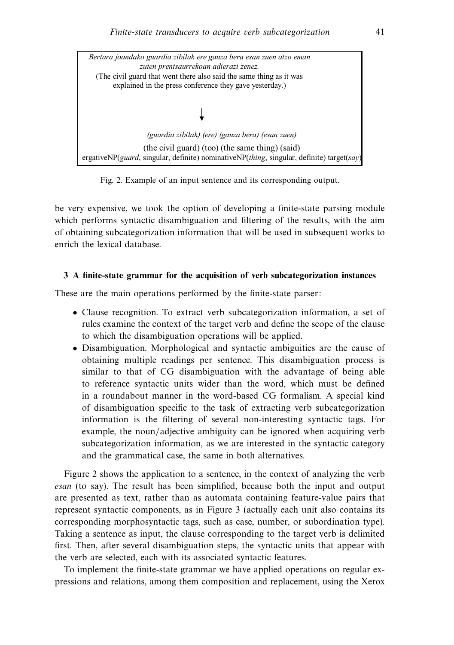

Fig. 2. Example of an input sentence and its corresponding output.

be very expensive, we took the option of developing a finite-state parsing module which performs syntactic disambiguation and filtering of the results, with the aim of obtaining subcategorization information that will be used in subsequent works to enrich the lexical database.

#### **3 A finite-state grammar for the acquisition of verb subcategorization instances**

These are the main operations performed by the finite-state parser:

- Clause recognition. To extract verb subcategorization information, a set of rules examine the context of the target verb and define the scope of the clause to which the disambiguation operations will be applied.
- Disambiguation. Morphological and syntactic ambiguities are the cause of obtaining multiple readings per sentence. This disambiguation process is similar to that of CG disambiguation with the advantage of being able to reference syntactic units wider than the word, which must be defined in a roundabout manner in the word-based CG formalism. A special kind of disambiguation specific to the task of extracting verb subcategorization information is the filtering of several non-interesting syntactic tags. For example, the noun/adjective ambiguity can be ignored when acquiring verb subcategorization information, as we are interested in the syntactic category and the grammatical case, the same in both alternatives.

Figure 2 shows the application to a sentence, in the context of analyzing the verb esan (to say). The result has been simplified, because both the input and output are presented as text, rather than as automata containing feature-value pairs that represent syntactic components, as in Figure 3 (actually each unit also contains its corresponding morphosyntactic tags, such as case, number, or subordination type). Taking a sentence as input, the clause corresponding to the target verb is delimited first. Then, after several disambiguation steps, the syntactic units that appear with the verb are selected, each with its associated syntactic features.

To implement the finite-state grammar we have applied operations on regular expressions and relations, among them composition and replacement, using the Xerox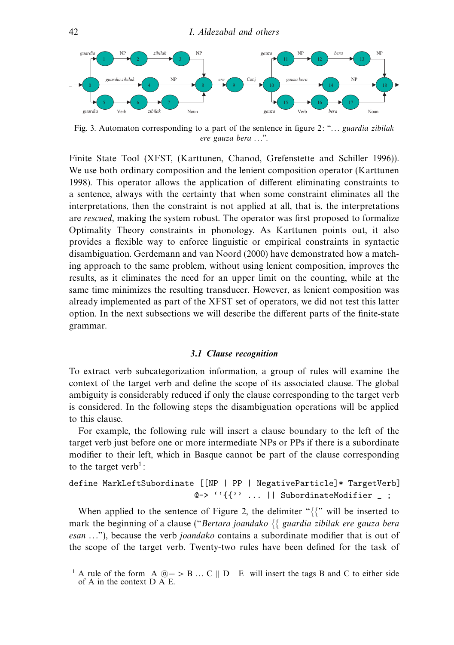

Fig. 3. Automaton corresponding to a part of the sentence in figure 2: "*...* guardia zibilak ere gauza bera *...*".

Finite State Tool (XFST, (Karttunen, Chanod, Grefenstette and Schiller 1996)). We use both ordinary composition and the lenient composition operator (Karttunen 1998). This operator allows the application of different eliminating constraints to a sentence, always with the certainty that when some constraint eliminates all the interpretations, then the constraint is not applied at all, that is, the interpretations are rescued, making the system robust. The operator was first proposed to formalize Optimality Theory constraints in phonology. As Karttunen points out, it also provides a flexible way to enforce linguistic or empirical constraints in syntactic disambiguation. Gerdemann and van Noord (2000) have demonstrated how a matching approach to the same problem, without using lenient composition, improves the results, as it eliminates the need for an upper limit on the counting, while at the same time minimizes the resulting transducer. However, as lenient composition was already implemented as part of the XFST set of operators, we did not test this latter option. In the next subsections we will describe the different parts of the finite-state grammar.

#### *3.1 Clause recognition*

To extract verb subcategorization information, a group of rules will examine the context of the target verb and define the scope of its associated clause. The global ambiguity is considerably reduced if only the clause corresponding to the target verb is considered. In the following steps the disambiguation operations will be applied to this clause.

For example, the following rule will insert a clause boundary to the left of the target verb just before one or more intermediate NPs or PPs if there is a subordinate modifier to their left, which in Basque cannot be part of the clause corresponding to the target verb<sup>1</sup>:

```
define MarkLeftSubordinate [[NP | PP | NegativeParticle]* TargetVerb]
                            \texttt{Q->} ''{{'' ... || SubordinateModifier _ ;
```
When applied to the sentence of Figure 2, the delimiter " ${''}$ " will be inserted to mark the beginning of a clause ("Bertara joandako  $\{$  guardia zibilak ere gauza bera esan *...*"), because the verb joandako contains a subordinate modifier that is out of the scope of the target verb. Twenty-two rules have been defined for the task of

<sup>&</sup>lt;sup>1</sup> A rule of the form A  $@-> B \dots C \parallel D \perp E$  will insert the tags B and C to either side of A in the context  $D \overline{A} E$ .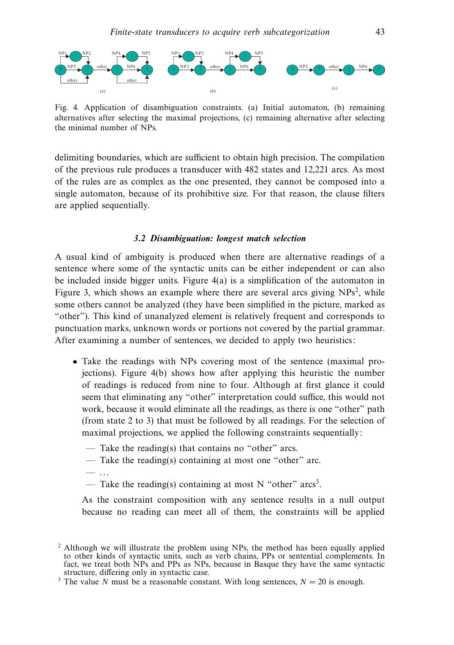

Fig. 4. Application of disambiguation constraints. (a) Initial automaton, (b) remaining alternatives after selecting the maximal projections, (c) remaining alternative after selecting the minimal number of NPs.

delimiting boundaries, which are sufficient to obtain high precision. The compilation of the previous rule produces a transducer with 482 states and 12,221 arcs. As most of the rules are as complex as the one presented, they cannot be composed into a single automaton, because of its prohibitive size. For that reason, the clause filters are applied sequentially.

#### *3.2 Disambiguation: longest match selection*

A usual kind of ambiguity is produced when there are alternative readings of a sentence where some of the syntactic units can be either independent or can also be included inside bigger units. Figure  $4(a)$  is a simplification of the automaton in Figure 3, which shows an example where there are several arcs giving  $NPs<sup>2</sup>$ , while some others cannot be analyzed (they have been simplified in the picture, marked as "other"). This kind of unanalyzed element is relatively frequent and corresponds to punctuation marks, unknown words or portions not covered by the partial grammar. After examining a number of sentences, we decided to apply two heuristics:

- Take the readings with NPs covering most of the sentence (maximal projections). Figure 4(b) shows how after applying this heuristic the number of readings is reduced from nine to four. Although at first glance it could seem that eliminating any "other" interpretation could suffice, this would not work, because it would eliminate all the readings, as there is one "other" path (from state 2 to 3) that must be followed by all readings. For the selection of maximal projections, we applied the following constraints sequentially:
	- Take the reading(s) that contains no "other" arcs.
	- Take the reading(s) containing at most one "other" arc.
	- *...*
	- Take the reading(s) containing at most N "other"  $\arccos^3$ .

As the constraint composition with any sentence results in a null output because no reading can meet all of them, the constraints will be applied

<sup>&</sup>lt;sup>2</sup> Although we will illustrate the problem using NPs, the method has been equally applied to other kinds of syntactic units, such as verb chains, PPs or sentential complements. In fact, we treat both NPs and PPs as NPs, because in Basque they have the same syntactic structure, differing only in syntactic case.

<sup>&</sup>lt;sup>3</sup> The value *N* must be a reasonable constant. With long sentences,  $N = 20$  is enough.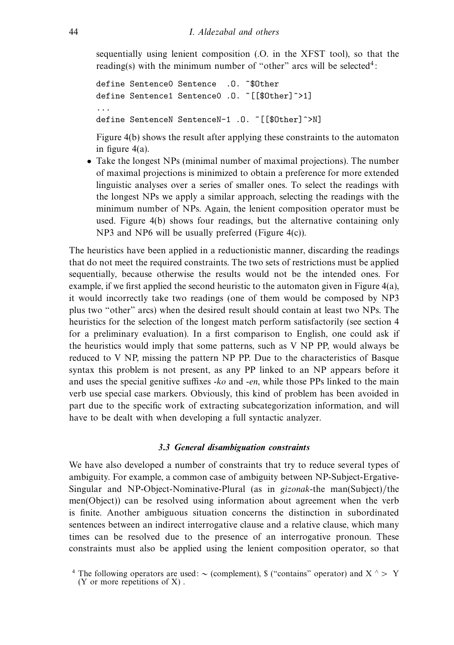sequentially using lenient composition (.O. in the XFST tool), so that the reading(s) with the minimum number of "other" arcs will be selected<sup>4</sup>:

```
define Sentence0 Sentence .O. ~$Other
define Sentence1 Sentence0 .0. "[[$0ther]^>1]
...
define SentenceN SentenceN-1 .0. "[[$Other]^>N]
```
Figure 4(b) shows the result after applying these constraints to the automaton in figure 4(a).

• Take the longest NPs (minimal number of maximal projections). The number of maximal projections is minimized to obtain a preference for more extended linguistic analyses over a series of smaller ones. To select the readings with the longest NPs we apply a similar approach, selecting the readings with the minimum number of NPs. Again, the lenient composition operator must be used. Figure 4(b) shows four readings, but the alternative containing only NP3 and NP6 will be usually preferred (Figure 4(c)).

The heuristics have been applied in a reductionistic manner, discarding the readings that do not meet the required constraints. The two sets of restrictions must be applied sequentially, because otherwise the results would not be the intended ones. For example, if we first applied the second heuristic to the automaton given in Figure 4(a), it would incorrectly take two readings (one of them would be composed by NP3 plus two "other" arcs) when the desired result should contain at least two NPs. The heuristics for the selection of the longest match perform satisfactorily (see section 4 for a preliminary evaluation). In a first comparison to English, one could ask if the heuristics would imply that some patterns, such as V NP PP, would always be reduced to V NP, missing the pattern NP PP. Due to the characteristics of Basque syntax this problem is not present, as any PP linked to an NP appears before it and uses the special genitive suffixes -ko and -en, while those PPs linked to the main verb use special case markers. Obviously, this kind of problem has been avoided in part due to the specific work of extracting subcategorization information, and will have to be dealt with when developing a full syntactic analyzer.

# *3.3 General disambiguation constraints*

We have also developed a number of constraints that try to reduce several types of ambiguity. For example, a common case of ambiguity between NP-Subject-Ergative-Singular and NP-Object-Nominative-Plural (as in gizonak-the man(Subject)/the men(Object)) can be resolved using information about agreement when the verb is finite. Another ambiguous situation concerns the distinction in subordinated sentences between an indirect interrogative clause and a relative clause, which many times can be resolved due to the presence of an interrogative pronoun. These constraints must also be applied using the lenient composition operator, so that

<sup>4</sup> The following operators are used: <sup>∼</sup> (complement), \$ ("contains" operator) and X <sup>∧</sup> *<sup>&</sup>gt;* <sup>Y</sup>  $(Y \text{ or more repetitions of } X)$ .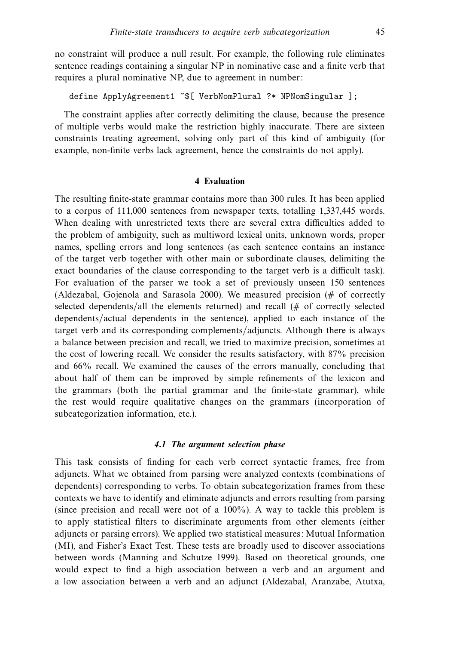no constraint will produce a null result. For example, the following rule eliminates sentence readings containing a singular NP in nominative case and a finite verb that requires a plural nominative NP, due to agreement in number:

```
define ApplyAgreement1 ~$[ VerbNomPlural ?* NPNomSingular ];
```
The constraint applies after correctly delimiting the clause, because the presence of multiple verbs would make the restriction highly inaccurate. There are sixteen constraints treating agreement, solving only part of this kind of ambiguity (for example, non-finite verbs lack agreement, hence the constraints do not apply).

# **4 Evaluation**

The resulting finite-state grammar contains more than 300 rules. It has been applied to a corpus of 111,000 sentences from newspaper texts, totalling 1,337,445 words. When dealing with unrestricted texts there are several extra difficulties added to the problem of ambiguity, such as multiword lexical units, unknown words, proper names, spelling errors and long sentences (as each sentence contains an instance of the target verb together with other main or subordinate clauses, delimiting the exact boundaries of the clause corresponding to the target verb is a difficult task). For evaluation of the parser we took a set of previously unseen 150 sentences (Aldezabal, Gojenola and Sarasola 2000). We measured precision (# of correctly selected dependents/all the elements returned) and recall  $#$  of correctly selected dependents/actual dependents in the sentence), applied to each instance of the target verb and its corresponding complements/adjuncts. Although there is always a balance between precision and recall, we tried to maximize precision, sometimes at the cost of lowering recall. We consider the results satisfactory, with 87% precision and 66% recall. We examined the causes of the errors manually, concluding that about half of them can be improved by simple refinements of the lexicon and the grammars (both the partial grammar and the finite-state grammar), while the rest would require qualitative changes on the grammars (incorporation of subcategorization information, etc.).

# *4.1 The argument selection phase*

This task consists of finding for each verb correct syntactic frames, free from adjuncts. What we obtained from parsing were analyzed contexts (combinations of dependents) corresponding to verbs. To obtain subcategorization frames from these contexts we have to identify and eliminate adjuncts and errors resulting from parsing (since precision and recall were not of a 100%). A way to tackle this problem is to apply statistical filters to discriminate arguments from other elements (either adjuncts or parsing errors). We applied two statistical measures: Mutual Information (MI), and Fisher's Exact Test. These tests are broadly used to discover associations between words (Manning and Schutze 1999). Based on theoretical grounds, one would expect to find a high association between a verb and an argument and a low association between a verb and an adjunct (Aldezabal, Aranzabe, Atutxa,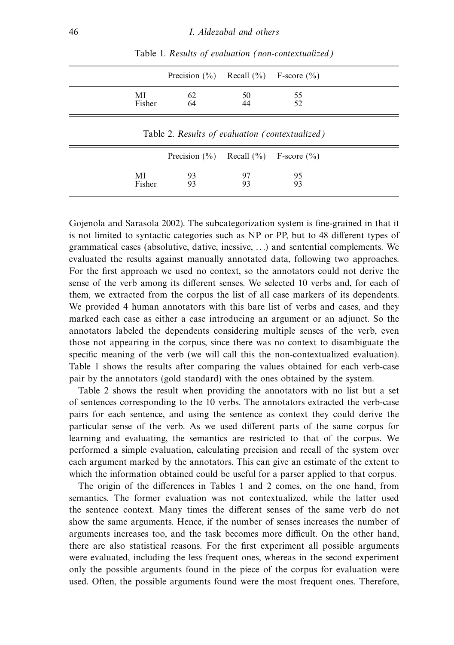|              | Precision $(\% )$ Recall $(\% )$ F-score $(\% )$ |          |          |  |
|--------------|--------------------------------------------------|----------|----------|--|
| MI<br>Fisher | 62<br>64                                         | 50<br>44 | 55<br>52 |  |
|              | Table 2. Results of evaluation (contextualized)  |          |          |  |

Table 1. Results of evaluation (non-contextualized)

| Table 2. Results of evaluation (contextualized) |              |                                                  |          |          |  |  |
|-------------------------------------------------|--------------|--------------------------------------------------|----------|----------|--|--|
|                                                 |              | Precision $(\% )$ Recall $(\% )$ F-score $(\% )$ |          |          |  |  |
|                                                 | МI<br>Fisher | 93<br>93                                         | 97<br>93 | 95<br>93 |  |  |

Gojenola and Sarasola 2002). The subcategorization system is fine-grained in that it is not limited to syntactic categories such as NP or PP, but to 48 different types of grammatical cases (absolutive, dative, inessive, *...*) and sentential complements. We evaluated the results against manually annotated data, following two approaches. For the first approach we used no context, so the annotators could not derive the sense of the verb among its different senses. We selected 10 verbs and, for each of them, we extracted from the corpus the list of all case markers of its dependents. We provided 4 human annotators with this bare list of verbs and cases, and they marked each case as either a case introducing an argument or an adjunct. So the annotators labeled the dependents considering multiple senses of the verb, even those not appearing in the corpus, since there was no context to disambiguate the specific meaning of the verb (we will call this the non-contextualized evaluation). Table 1 shows the results after comparing the values obtained for each verb-case pair by the annotators (gold standard) with the ones obtained by the system.

Table 2 shows the result when providing the annotators with no list but a set of sentences corresponding to the 10 verbs. The annotators extracted the verb-case pairs for each sentence, and using the sentence as context they could derive the particular sense of the verb. As we used different parts of the same corpus for learning and evaluating, the semantics are restricted to that of the corpus. We performed a simple evaluation, calculating precision and recall of the system over each argument marked by the annotators. This can give an estimate of the extent to which the information obtained could be useful for a parser applied to that corpus.

The origin of the differences in Tables 1 and 2 comes, on the one hand, from semantics. The former evaluation was not contextualized, while the latter used the sentence context. Many times the different senses of the same verb do not show the same arguments. Hence, if the number of senses increases the number of arguments increases too, and the task becomes more difficult. On the other hand, there are also statistical reasons. For the first experiment all possible arguments were evaluated, including the less frequent ones, whereas in the second experiment only the possible arguments found in the piece of the corpus for evaluation were used. Often, the possible arguments found were the most frequent ones. Therefore,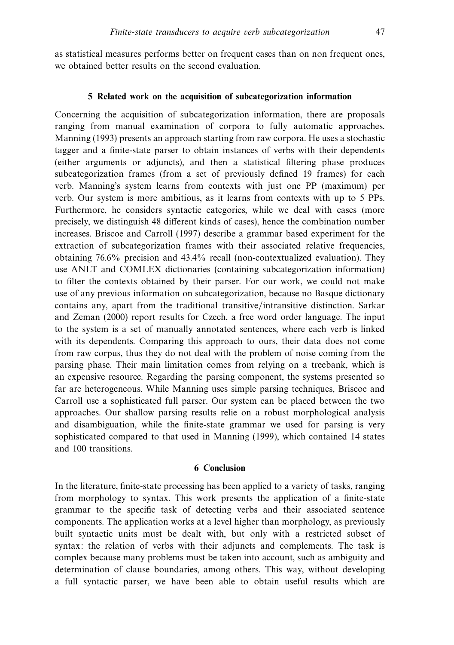as statistical measures performs better on frequent cases than on non frequent ones, we obtained better results on the second evaluation.

#### **5 Related work on the acquisition of subcategorization information**

Concerning the acquisition of subcategorization information, there are proposals ranging from manual examination of corpora to fully automatic approaches. Manning (1993) presents an approach starting from raw corpora. He uses a stochastic tagger and a finite-state parser to obtain instances of verbs with their dependents (either arguments or adjuncts), and then a statistical filtering phase produces subcategorization frames (from a set of previously defined 19 frames) for each verb. Manning's system learns from contexts with just one PP (maximum) per verb. Our system is more ambitious, as it learns from contexts with up to 5 PPs. Furthermore, he considers syntactic categories, while we deal with cases (more precisely, we distinguish 48 different kinds of cases), hence the combination number increases. Briscoe and Carroll (1997) describe a grammar based experiment for the extraction of subcategorization frames with their associated relative frequencies, obtaining 76.6% precision and 43.4% recall (non-contextualized evaluation). They use ANLT and COMLEX dictionaries (containing subcategorization information) to filter the contexts obtained by their parser. For our work, we could not make use of any previous information on subcategorization, because no Basque dictionary contains any, apart from the traditional transitive/intransitive distinction. Sarkar and Zeman (2000) report results for Czech, a free word order language. The input to the system is a set of manually annotated sentences, where each verb is linked with its dependents. Comparing this approach to ours, their data does not come from raw corpus, thus they do not deal with the problem of noise coming from the parsing phase. Their main limitation comes from relying on a treebank, which is an expensive resource. Regarding the parsing component, the systems presented so far are heterogeneous. While Manning uses simple parsing techniques, Briscoe and Carroll use a sophisticated full parser. Our system can be placed between the two approaches. Our shallow parsing results relie on a robust morphological analysis and disambiguation, while the finite-state grammar we used for parsing is very sophisticated compared to that used in Manning (1999), which contained 14 states and 100 transitions.

#### **6 Conclusion**

In the literature, finite-state processing has been applied to a variety of tasks, ranging from morphology to syntax. This work presents the application of a finite-state grammar to the specific task of detecting verbs and their associated sentence components. The application works at a level higher than morphology, as previously built syntactic units must be dealt with, but only with a restricted subset of syntax: the relation of verbs with their adjuncts and complements. The task is complex because many problems must be taken into account, such as ambiguity and determination of clause boundaries, among others. This way, without developing a full syntactic parser, we have been able to obtain useful results which are